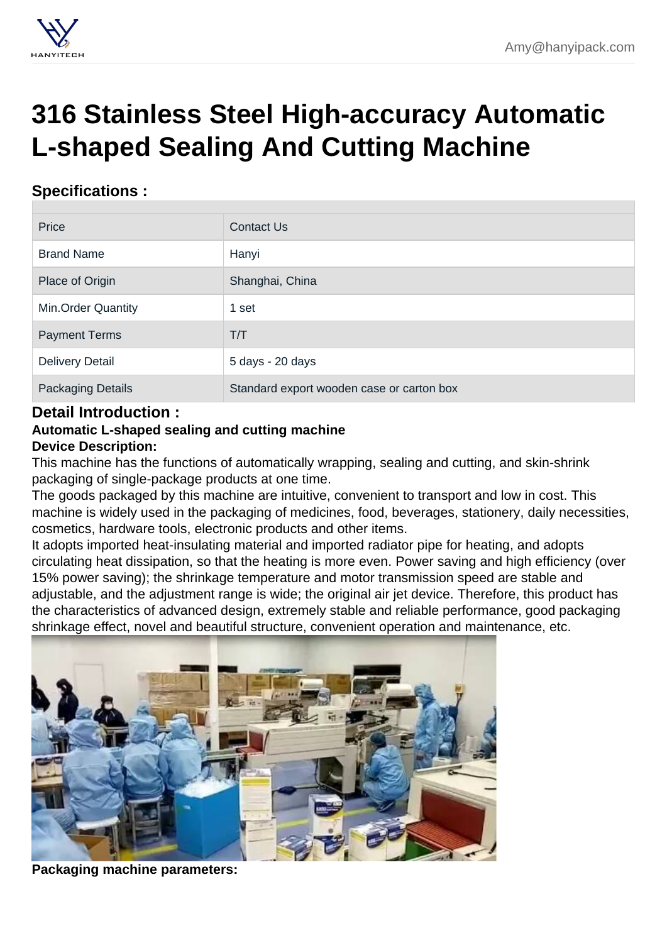## [316 Stainless Steel High-accuracy Automatic](https://hanyipack.com/cup-filling-and-sealing-machine/316-stainless-steel-high-accuracy-automatic-l-shaped-sealing-and-cutting-machine.html) L-shaped Sealing And Cutting Machine

## Specifications :

| Price                    | <b>Contact Us</b>                         |
|--------------------------|-------------------------------------------|
| <b>Brand Name</b>        | Hanyi                                     |
| Place of Origin          | Shanghai, China                           |
| Min.Order Quantity       | 1 set                                     |
| <b>Payment Terms</b>     | T/T                                       |
| <b>Delivery Detail</b>   | 5 days - 20 days                          |
| <b>Packaging Details</b> | Standard export wooden case or carton box |

## Detail Introduction :

Automatic L-shaped sealing and cutting machine

Device Description:

This machine has the functions of automatically wrapping, sealing and cutting, and skin-shrink packaging of single-package products at one time.

The goods packaged by this machine are intuitive, convenient to transport and low in cost. This machine is widely used in the packaging of medicines, food, beverages, stationery, daily necessities, cosmetics, hardware tools, electronic products and other items.

It adopts imported heat-insulating material and imported radiator pipe for heating, and adopts circulating heat dissipation, so that the heating is more even. Power saving and high efficiency (over 15% power saving); the shrinkage temperature and motor transmission speed are stable and adjustable, and the adjustment range is wide; the original air jet device. Therefore, this product has the characteristics of advanced design, extremely stable and reliable performance, good packaging shrinkage effect, novel and beautiful structure, convenient operation and maintenance, etc.